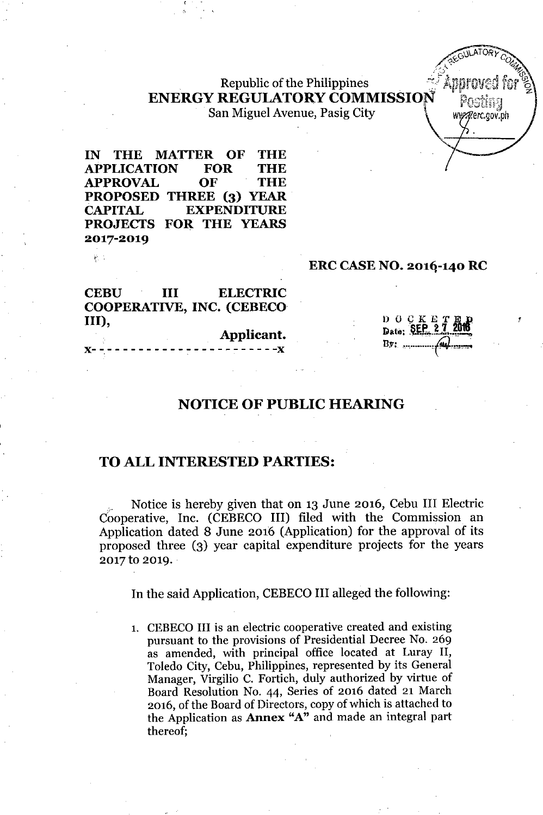# Republic of the Philippines ENERGY REGULATORY COMMISSION

San Miguel Avenue, Pasig City Www.gerc.gov.ph

IN THE MATTER OF THE APPLICATION FOR THE APPROVAL OF THE PROPOSED THREE (3) YEAR CAPITAL EXPENDITURE PROJECTS FOR THE YEARS 2017-2019

#### ERC CASE NO. 2016-140 RC

CEBU III ELECTRIC COOPERATIVE, INC. (CEBECO III), Applicant.

 $\mu$  .

x- -,- - - - - - - - - - :-- - - - - - - - - - -x

 $D$   $O$   $C$   $K$   $E$ Date: SEP 27 2016 By: .............•*p.,.,,,.;.*

 $\sqrt{\frac{1}{2}}$ ULATORY *<i>Q.***ELSO**  <sup>*COLLE</sup>*</sup> ,,-.' '''7.- :.',-.1, ~

## NOTICE OF PUBLIC HEARING

## TO ALL INTERESTED PARTIES:

, Notice is hereby given that on 13 June 2016, Cebu III Electric Cooperative, Inc. (CEBECO III) filed with the Commission an Application dated 8 June 2016 (Application) for the approval of its proposed three (3) year capital expenditure projects for the years 2017 to 2019.

In the said Application, CEBECO III alleged the following:

1. CEBECO III is an electric cooperative created and existing pursuant to the provisions of Presidential Decree No. 269 as amended, with principal office located at Luray II, Toledo City, Cebu, Philippines, represented by its General Manager, Virgilio C. Fortich, duly authorized by virtue of Board Resolution No. 44, Series of 2016 dated 21 March 2016, of the Board of Directors, copy of which is attached to the Application as Annex "A" and made an integral part thereof;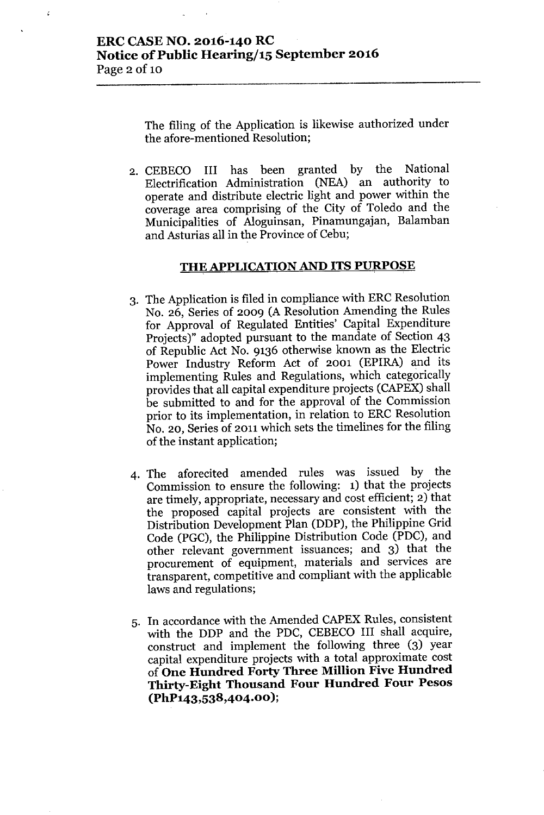ż

The filing of the Application is likewise authorized under the afore-mentioned Resolution;

2. CEBECO III has been granted by the National Electrification Administration (NEA) an authority to operate and distribute electric light and power within the coverage area comprising of the City of Toledo and the Municipalities of Aloguinsan, Pinamungajan, Balamban and Asturias all in the Province of Cebu;

#### **THE APPLICATIONAND ITS PURPOSE**

- 3. The Application is filed in compliance with ERC Resolution No. 26, Series of 2009 (A Resolution Amending the Rules for Approval of Regulated Entities' Capital Expenditure Projects)" adopted pursuant to the mandate of Section 43 of Republic Act No. 9136 otherwise known as the Electric Power Industry Reform Act of 2001 (EPIRA) and its implementing Rules and Regulations, which categorically provides that all capital expenditure projects (CAPEX) shall be submitted to and for the approval of the Commission prior to its implementation, in relation to ERC Resolution No. 20, Series of 2011 which sets the timelines for the filing of the instant application;
- 4. The aforecited amended rules was issued by the Commission to ensure the following: 1) that the projects are timely, appropriate, necessary and cost efficient; 2) that the proposed capital projects are consistent with the Distribution Development Plan (DDP), the Philippine Grid Code (PGC), the Philippine Distribution Code (PDC), and other relevant government issuances; and 3) that the procurement of equipment, materials and services are transparent, competitive and compliant with the applicable laws and regulations;
- 5. In accordance with the Amended CAPEX Rules, consistent with the DDP and the PDC, CEBECO III shall acquire, construct and implement the following three (3) year capital expenditure projects with a total approximate cost of **One Hundred Forty Three Million Five Hundred Thirty-Eight Thousand Four Hundred Four Pesos (PhP143,538,404.00 );**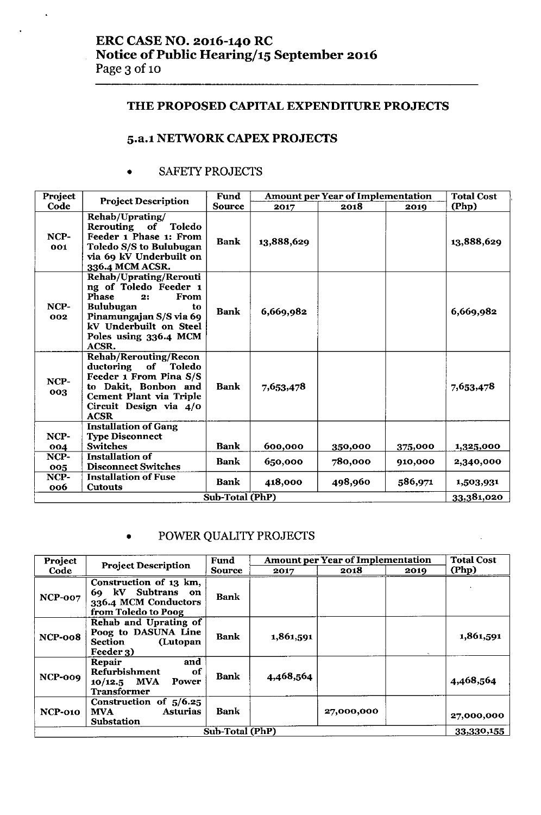## THE PROPOSED CAPITAL EXPENDITURE PROJECTS

## 5.a.l NElWORK CAPEX PROJECTS

#### • SAFETY PROJECTS

 $\ddot{\phantom{a}}$ 

| Project     | <b>Project Description</b>                                                                                                                                                                            | Fund            |            | <b>Amount per Year of Implementation</b> |         | <b>Total Cost</b> |
|-------------|-------------------------------------------------------------------------------------------------------------------------------------------------------------------------------------------------------|-----------------|------------|------------------------------------------|---------|-------------------|
| Code        |                                                                                                                                                                                                       | <b>Source</b>   | 2017       | 2018                                     | 2019    | (Php)             |
| NCP-<br>001 | Rehab/Uprating/<br>Rerouting of Toledo<br>Feeder 1 Phase 1: From<br>Toledo S/S to Bulubugan<br>via 69 kV Underbuilt on<br>336.4 MCM ACSR.                                                             | <b>Bank</b>     | 13,888,629 |                                          |         | 13,888,629        |
| NCP-<br>002 | Rehab/Uprating/Rerouti<br>ng of Toledo Feeder 1<br><b>Phase</b><br><b>From</b><br>2:<br><b>Bulubugan</b><br>to<br>Pinamungajan S/S via 69<br>kV Underbuilt on Steel<br>Poles using 336.4 MCM<br>ACSR. | <b>Bank</b>     | 6,669,982  |                                          |         | 6,669,982         |
| NCP-<br>003 | <b>Rehab/Rerouting/Recon</b><br>of<br><b>Toledo</b><br>ductoring<br>Feeder 1 From Pina S/S<br>to Dakit, Bonbon and<br>Cement Plant via Triple<br>Circuit Design via 4/0<br><b>ACSR</b>                | <b>Bank</b>     | 7,653,478  |                                          |         | 7,653,478         |
|             | <b>Installation of Gang</b>                                                                                                                                                                           |                 |            |                                          |         |                   |
| NCP-        | <b>Type Disconnect</b>                                                                                                                                                                                |                 |            |                                          |         |                   |
| 004         | <b>Switches</b>                                                                                                                                                                                       | <b>Bank</b>     | 600,000    | 350,000                                  | 375,000 | 1,325,000         |
| NCP-<br>005 | <b>Installation of</b><br><b>Disconnect Switches</b>                                                                                                                                                  | Bank            | 650,000    | 780,000                                  | 910,000 | 2,340,000         |
| NCP-<br>006 | <b>Installation of Fuse</b><br><b>Cutouts</b>                                                                                                                                                         | Bank            | 418,000    | 498,960                                  | 586,971 | 1,503,931         |
|             |                                                                                                                                                                                                       | Sub-Total (PhP) |            |                                          |         | 33,381,020        |

## • POWER QUALITY PROJECTS

| Project        |                                                                                               | Fund        |           | <b>Amount per Year of Implementation</b> |      | <b>Total Cost</b> |  |
|----------------|-----------------------------------------------------------------------------------------------|-------------|-----------|------------------------------------------|------|-------------------|--|
| Code           | <b>Project Description</b>                                                                    | Source      | 2017      | 2018                                     | 2019 | (Php)             |  |
| <b>NCP-007</b> | Construction of 13 km,<br>69 kV Subtrans<br>on<br>336.4 MCM Conductors<br>from Toledo to Poog | <b>Bank</b> |           |                                          |      |                   |  |
| NCP-008        | Rehab and Uprating of<br>Poog to DASUNA Line<br>(Lutopan<br><b>Section</b><br>Feeder 3)       | <b>Bank</b> | 1,861,591 |                                          |      | 1,861,591         |  |
| NCP-009        | and<br>Repair<br><b>Refurbishment</b><br>of<br>$10/12.5$ MVA<br>Power<br><b>Transformer</b>   | <b>Bank</b> | 4,468,564 |                                          |      | 4,468,564         |  |
| <b>NCP-010</b> | Construction of $5/6.25$<br><b>Asturias</b><br><b>MVA</b><br><b>Substation</b>                | <b>Bank</b> |           | 27,000,000                               |      | 27,000,000        |  |
|                |                                                                                               | 33,330,155  |           |                                          |      |                   |  |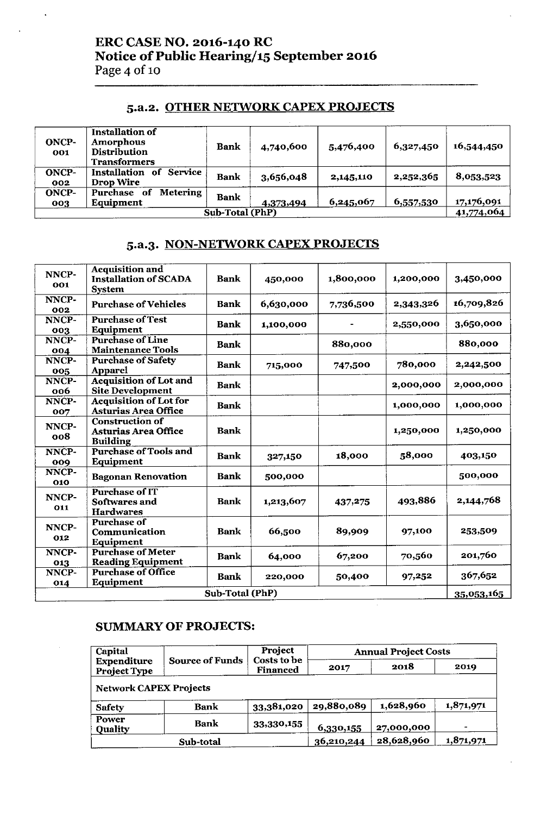## ERC CASE NO. 2016-140 RC Notice of Public Hearing/15 September 2016 Page 4 of 10

#### 5.a.2. OTHER NETWORK CAPEX PROJECTS

| ONCP-<br><b>OO1</b> | Installation of<br><b>Amorphous</b><br><b>Distribution</b><br><b>Transformers</b> | Bank | 4,740,600 | 5,476,400 | 6,327,450 | 16,544,450 |
|---------------------|-----------------------------------------------------------------------------------|------|-----------|-----------|-----------|------------|
| <b>ONCP-</b><br>002 | <b>Service</b><br><b>Installation</b><br>- of<br><b>Drop Wire</b>                 | Bank | 3,656,048 | 2,145,110 | 2,252,365 | 8,053,523  |
| <b>ONCP-</b><br>003 | <b>Metering</b><br>Purchase<br>of<br>Equipment                                    | Bank | 4,373,494 | 6,245,067 | 6,557,530 | 17,176,091 |
| Sub-Total (PhP)     |                                                                                   |      |           |           |           |            |

## 5.a.3. NON-NETWORK CAPEX PROJECTS

| NNCP-<br>001    | <b>Acquisition and</b><br><b>Installation of SCADA</b><br><b>System</b>  | <b>Bank</b> | 450,000   | 1,800,000 | 1,200,000 | 3,450,000  |  |
|-----------------|--------------------------------------------------------------------------|-------------|-----------|-----------|-----------|------------|--|
| NNCP-<br>002    | <b>Purchase of Vehicles</b>                                              | <b>Bank</b> | 6,630,000 | 7,736,500 | 2,343,326 | 16,709,826 |  |
| NNCP-<br>003    | <b>Purchase of Test</b><br>Equipment                                     | <b>Bank</b> | 1,100,000 |           | 2,550,000 | 3,650,000  |  |
| NNCP-<br>004    | <b>Purchase of Line</b><br><b>Maintenance Tools</b>                      | Bank        |           | 880,000   |           | 880,000    |  |
| NNCP-<br>005    | <b>Purchase of Safety</b><br><b>Apparel</b>                              | <b>Bank</b> | 715,000   | 747,500   | 780,000   | 2,242,500  |  |
| NNCP-<br>006    | <b>Acquisition of Lot and</b><br><b>Site Development</b>                 | Bank        |           |           | 2,000,000 | 2,000,000  |  |
| NNCP-<br>007    | <b>Acquisition of Lot for</b><br><b>Asturias Area Office</b>             | <b>Bank</b> |           |           | 1,000,000 | 1,000,000  |  |
| NNCP-<br>008    | <b>Construction of</b><br><b>Asturias Area Office</b><br><b>Building</b> | <b>Bank</b> |           |           | 1,250,000 | 1,250,000  |  |
| NNCP-<br>009    | <b>Purchase of Tools and</b><br>Equipment                                | <b>Bank</b> | 327,150   | 18,000    | 58,000    | 403,150    |  |
| NNCP-<br>010    | <b>Bagonan Renovation</b>                                                | <b>Bank</b> | 500,000   |           |           | 500,000    |  |
| NNCP-<br>011    | <b>Purchase of IT</b><br>Softwares and<br><b>Hardwares</b>               | <b>Bank</b> | 1,213,607 | 437,275   | 493,886   | 2,144,768  |  |
| NNCP-<br>O12    | <b>Purchase of</b><br>Communication<br>Equipment                         | <b>Bank</b> | 66,500    | 89,909    | 97,100    | 253,509    |  |
| NNCP-<br>013    | <b>Purchase of Meter</b><br><b>Reading Equipment</b>                     | <b>Bank</b> | 64,000    | 67,200    | 70,560    | 201,760    |  |
| NNCP-<br>014    | <b>Purchase of Office</b><br>Equipment                                   | <b>Bank</b> | 220,000   | 50,400    | 97,252    | 367,652    |  |
| Sub-Total (PhP) |                                                                          |             |           |           |           |            |  |

#### SUMMARY OF PROJECTS:

| Capital                                   | Project                |                         | <b>Annual Project Costs</b> |            |           |  |  |
|-------------------------------------------|------------------------|-------------------------|-----------------------------|------------|-----------|--|--|
| <b>Expenditure</b><br><b>Project Type</b> | <b>Source of Funds</b> | Costs to be<br>Financed | 2018<br>2017                |            | 2019      |  |  |
| <b>Network CAPEX Projects</b>             |                        |                         |                             |            |           |  |  |
| <b>Safety</b>                             | <b>Bank</b>            | 33,381,020              | 29,880,089                  | 1,628,960  | 1,871,971 |  |  |
| Power<br><b>Quality</b>                   | <b>Bank</b>            | 33,330,155              | 6,330,155                   | 27,000,000 |           |  |  |
|                                           | Sub-total              |                         | 36,210,244                  | 28,628,960 | 1,871,971 |  |  |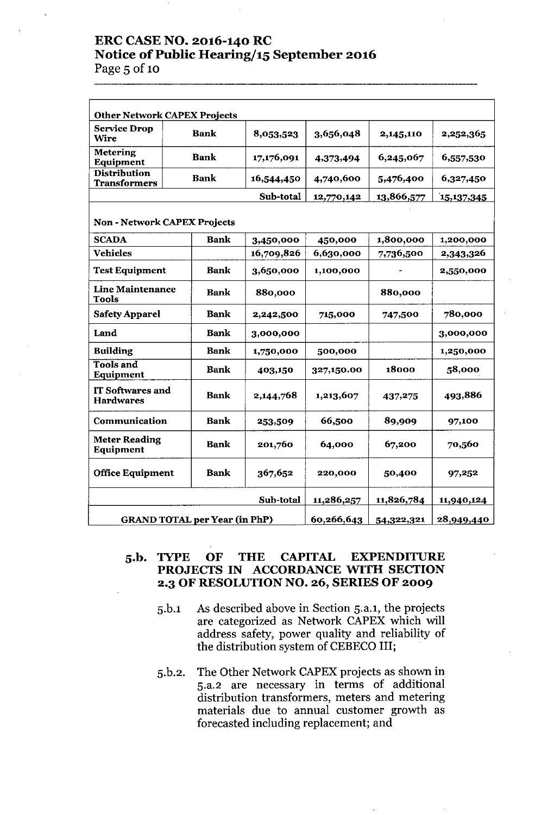#### ERC CASE NO. 2016-140 RC Notice of Public Hearing/15 September 2016 Page 5 of 10

| <b>Other Network CAPEX Projects</b>         |                                      |            |                    |            |                   |  |  |  |
|---------------------------------------------|--------------------------------------|------------|--------------------|------------|-------------------|--|--|--|
| <b>Service Drop</b><br>Wire                 | <b>Bank</b>                          | 8,053,523  | 3,656,048          | 2,145,110  | 2,252,365         |  |  |  |
| <b>Metering</b><br>Equipment                | <b>Bank</b>                          | 17,176,091 | 4,373,494          | 6,245,067  | 6,557,530         |  |  |  |
| <b>Distribution</b><br><b>Transformers</b>  | <b>Bank</b>                          | 16,544,450 | 4,740,600          | 5,476,400  | 6,327,450         |  |  |  |
|                                             |                                      | Sub-total  | 12,770,142         | 13,866,577 | <u>15,137,345</u> |  |  |  |
|                                             | <b>Non - Network CAPEX Projects</b>  |            |                    |            |                   |  |  |  |
| <b>SCADA</b>                                | <b>Bank</b>                          | 3,450,000  | 450,000            | 1,800,000  | 1,200,000         |  |  |  |
| <b>Vehicles</b>                             |                                      | 16,709,826 | 6,630,000          | 7,736,500  | 2,343,326         |  |  |  |
| <b>Test Equipment</b>                       | <b>Bank</b>                          | 3,650,000  | 1,100,000          |            | 2,550,000         |  |  |  |
| <b>Line Maintenance</b><br><b>Tools</b>     | <b>Bank</b>                          | 880,000    |                    | 880,000    |                   |  |  |  |
| <b>Safety Apparel</b>                       | <b>Bank</b>                          | 2,242,500  | 715,000<br>747,500 |            | 780,000           |  |  |  |
| Land                                        | <b>Bank</b>                          | 3,000,000  |                    |            | 3,000,000         |  |  |  |
| <b>Building</b>                             | <b>Bank</b>                          | 1,750,000  | 500,000            |            | 1,250,000         |  |  |  |
| <b>Tools and</b><br>Equipment               | <b>Bank</b>                          | 403,150    | 327,150.00         | 18000      | 58,000            |  |  |  |
| <b>IT Softwares and</b><br><b>Hardwares</b> | <b>Bank</b>                          | 2,144,768  | 1,213,607          | 437,275    | 493,886           |  |  |  |
| Communication                               | <b>Bank</b>                          | 253,509    | 66,500<br>89,909   |            | 97,100            |  |  |  |
| <b>Meter Reading</b><br>Equipment           | <b>Bank</b>                          | 201,760    | 67,200<br>64,000   |            | 70,560            |  |  |  |
| <b>Office Equipment</b>                     | <b>Bank</b>                          | 367,652    | 220,000            | 50,400     | 97,252            |  |  |  |
|                                             |                                      | 11,286,257 | 11,826,784         | 11,940,124 |                   |  |  |  |
|                                             | <b>GRAND TOTAL per Year (in PhP)</b> | 60,266,643 | 54,322,321         | 28,949,440 |                   |  |  |  |

## 5.b. TYPE OF THE CAPITAL EXPENDITURE PROJECTS IN ACCORDANCE WITH SECTION 2.3 OF RESOLUTION NO. 26, SERIES OF 2009

- 5.b.1 As described above in Section 5.a.l, the projects are categorized as Network CAPEX which will address safety, power quality and reliability of the distribution system of CEBECO III;
- 5.b.2. The Other Network CAPEX projects as shown in 5.a.2 are necessary in terms of additional distribution transformers, meters and metering materials due to annual customer growth as forecasted including replacement; and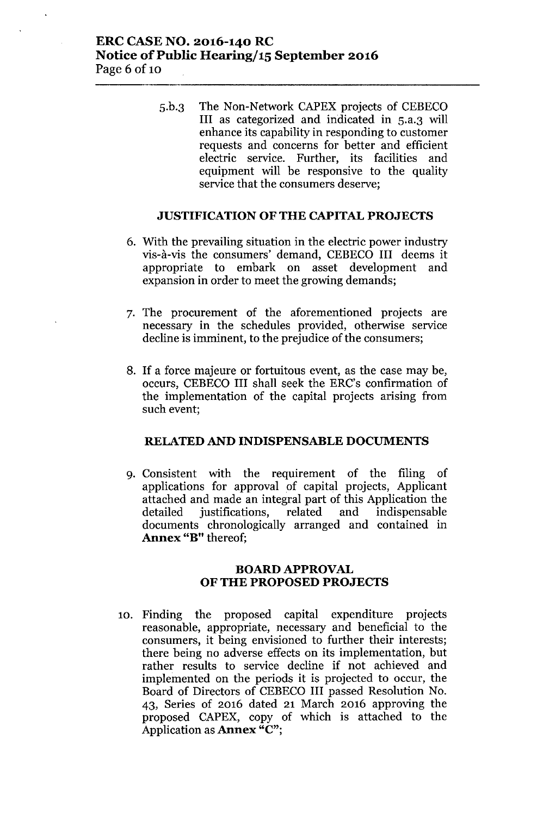## ERC CASE NO. 2016-140 RC Notice of Public Hearing/15 September 2016 Page 6 of 10

5.b.3 The Non-Network CAPEX projects of CEBECO III as categorized and indicated in 5.a.3 will enhance its capability in responding to customer requests and concerns for better and efficient electric service. Further, its facilities and equipment will be responsive to the quality service that the consumers deserve;

#### JUSTIFICATION OF THE CAPITAL PROJECTS

- 6. With the prevailing situation in the electric power industry vis-a.-vis the consumers' demand, CEBECO III deems it appropriate to embark on asset development and expansion in order to meet the growing demands;
- 7. The procurement of the aforementioned projects are necessary in the schedules provided, otherwise service decline is imminent, to the prejudice of the consumers;
- 8. If a force majeure or fortuitous event, as the case may be, occurs, CEBECO III shall seek the ERC's confirmation of the implementation of the capital projects arising from such event;

#### RELATED AND INDISPENSABLE DOCUMENTS

9. Consistent with the requirement of the filing of applications for approval of capital projects, Applicant attached and made an integral part of this Application the detailed justifications, related and indispensable documents chronologically arranged and contained in Annex "B" thereof;

#### BOARD APPROVAL OF THE PROPOSED PROJECTS

10. Finding the proposed capital expenditure projects reasonable, appropriate, necessary and beneficial to the consumers, it being envisioned to further their interests; there being no adverse effects on its implementation, but rather results to service decline if not achieved and implemented on the periods it is projected to occur, the Board of Directors of CEBECO III passed Resolution No. 43, Series of 2016 dated 21 March 2016 approving the proposed CAPEX, copy of which is attached to the Application as Annex "C";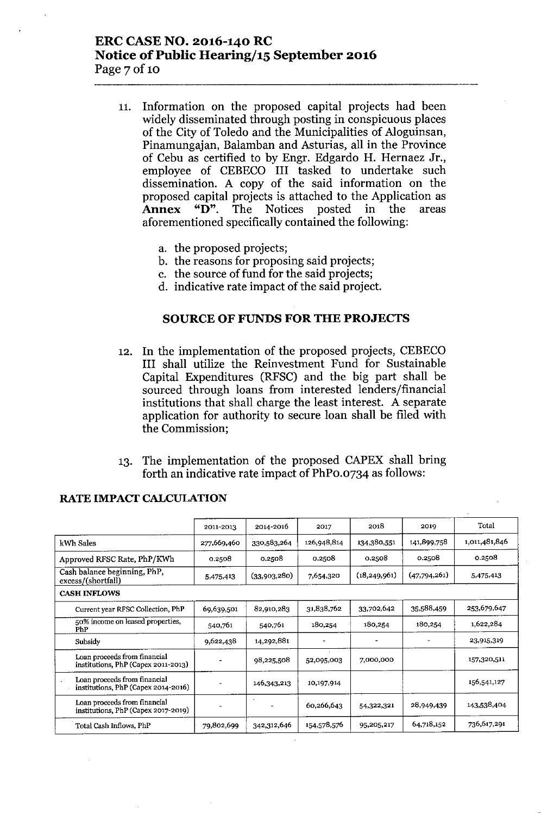## ERC CASE NO. 2016-140 RC Notice of Public Hearing/15 September 2016 Page 7 of 10

- 11. Information on the proposed capital projects had been widely disseminated through posting in conspicuous places of the City of Toledo and the Municipalities of Aloguinsan, Pinamungajan, Balamban and Asturias, all in the Province of Cebu as certified to by Engr. Edgardo H. Hernaez Jr., employee of CEBECO III tasked to undertake such dissemination. A copy of the said information on the proposed capital projects is attached to the Application as Annex "D". The Notices posted in the areas aforementioned specifically contained the following:
	- a. the proposed projects;
	- b. the reasons for proposing said projects;
	- c. the source of fund for the said projects;
	- d. indicative rate impact of the said project.

#### SOURCE OF FUNDS FOR THE PROJECTS

- 12. In the implementation of the proposed projects, CEBECO III shall utilize the Reinvestment Fund for Sustainable Capital Expenditures (RFSC) and the big part shall be sourced through loans from interested lenders/financial institutions that shall charge the least interest. A separate application for authority to secure loan shall be filed with the Commission;
- 13. The implementation of the proposed CAPEX shall bring forth an indicative rate impact of PhPo.0734 as follows:

|                                                                     | 2011-2013                | 2014-2016    | 2017        | 2018           | 2019         | Total         |
|---------------------------------------------------------------------|--------------------------|--------------|-------------|----------------|--------------|---------------|
| kWh Sales                                                           | 277,669,460              | 330,583,264  | 126,948,814 | 134,380,551    | 141,899,758  | 1,011,481,846 |
| Approved RFSC Rate, PhP/KWh                                         | 0.2508                   | 0.2508       | 0.2508      | 0.2508         | 0.2508       | 0.2508        |
| Cash balance beginning, PhP,<br>excess/(shortfall)                  | 5,475,413                | (33,903,280) | 7,654,320   | (18, 249, 961) | (47,794,261) | 5,475,413     |
| <b>CASH INFLOWS</b>                                                 |                          |              |             |                |              |               |
| Current year RFSC Collection, PhP                                   | 69,639,501               | 82,910,283   | 31,838,762  | 33,702,642     | 35,588,459   | 253,679,647   |
| 50% income on leased properties,<br>PhP                             | 540,761                  | 540,761      | 180,254     | 180,254        | 180,254      | 1,622,284     |
| Subsidy                                                             | 9,622,438                | 14,292,881   |             |                |              | 23,915,319    |
| Loan proceeds from financial<br>institutions, PhP (Capex 2011-2013) |                          | 98,225,508   | 52,095,003  | 7,000,000      |              | 157,320,511   |
| Loan proceeds from financial<br>institutions, PhP (Capex 2014-2016) |                          | 146,343,213  | 10,197,914  |                |              | 156,541,127   |
| Loan proceeds from financial<br>institutions, PhP (Capex 2017-2019) | $\overline{\phantom{0}}$ |              | 60,266,643  | 54,322,321     | 28,949,439   | 143,538,404   |
| Total Cash Inflows, PhP                                             | 79,802,699               | 342,312,646  | 154,578,576 | 95,205,217     | 64,718,152   | 736,617.291   |

#### RATE IMPACf CALCULATION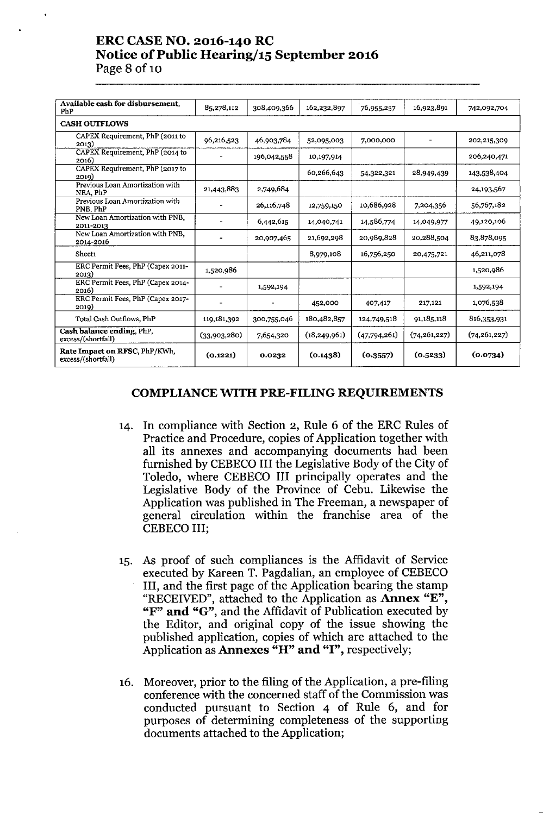#### ERC CASE NO. 2016-140 RC Notice of Public Hearing/15 September 2016 Page 8 of 10

| Available cash for disbursement,<br>PhP             | 85,278,112   | 308,409,366 | 162,232.897    | 76,955,257   | 16.923,891     | 742,092.704    |
|-----------------------------------------------------|--------------|-------------|----------------|--------------|----------------|----------------|
| <b>CASH OUTFLOWS</b>                                |              |             |                |              |                |                |
| CAPEX Requirement, PhP (2011 to<br>2013)            | 96,216,523   | 46,903,784  | 52,095,003     | 7,000,000    |                | 202,215,309    |
| CAPEX Requirement, PhP (2014 to<br>2016)            |              | 196,042,558 | 10,197,914     |              |                | 206,240,471    |
| CAPEX Requirement, PhP (2017 to<br>2019)            |              |             | 60,266,643     | 54,322,321   | 28,949,439     | 143,538,404    |
| Previous Loan Amortization with<br>NEA, PhP         | 21,443,883   | 2,749,684   |                |              |                | 24, 193, 567   |
| Previous Loan Amortization with<br>PNB, PhP         |              | 26,116,748  | 12,759,150     | 10,686,928   | 7,204,356      | 56,767,182     |
| New Loan Amortization with PNB,<br>2011-2013        |              | 6,442,615   | 14,040,741     | 14,586,774   | 14,049,977     | 49,120,106     |
| New Loan Amortization with PNB,<br>2014-2016        |              | 20,907,465  | 21,692,298     | 20,989,828   | 20,288,504     | 83,878,095     |
| Sheet1                                              |              |             | 8,979,108      | 16,756,250   | 20,475,721     | 46,211,078     |
| ERC Permit Fees, PhP (Capex 2011-<br>2013)          | 1,520,986    |             |                |              |                | 1,520,986      |
| ERC Permit Fees, PhP (Capex 2014-<br>2016)          | $\sim$       | 1,592,194   |                |              |                | 1,592,194      |
| ERC Permit Fees, PhP (Capex 2017-<br>2019)          |              |             | 452,000        | 407,417      | 217,121        | 1,076,538      |
| Total Cash Outflows, PhP                            | 119,181,392  | 300,755,046 | 180,482,857    | 124,749,518  | 91,185,118     | 816,353,931    |
| Cash balance ending, PhP.<br>excess/(shortfall)     | (33,903,280) | 7,654,320   | (18, 249, 961) | (47,794,261) | (74, 261, 227) | (74, 261, 227) |
| Rate Impact on RFSC, PhP/KWh,<br>excess/(shortfall) | (0.1221)     | 0.0232      | (0.1438)       | (0.3557)     | (0.5233)       | (0.0734)       |

#### COMPLIANCE WITH PRE-FILING REQUIREMENTS

- 14. In compliance with Section 2, Rule 6 of the ERC Rules of Practice and Procedure, copies of Application together with all its annexes and accompanying documents had been furnished by CEBECO III the Legislative Body of the City of Toledo, where CEBECO III principally operates and the Legislative Body of the Province of Cebu. Likewise the Application was published in The Freeman, a newspaper of general circulation within the franchise area of the CEBECO III;
- 15. As proof of such compliances is the Affidavit of Service executed by Kareen T. Pagdalian, an employee of CEBECO III, and the first page of the Application bearing the stamp "RECEIVED", attached to the Application as Annex "E", "F" and "G", and the Affidavit of Publication executed by the Editor, and original copy of the issue showing the published application, copies of which are attached to the Application as **Annexes** "H" and "I", respectively;
- 16. Moreover, prior to the filing of the Application, a pre-filing conference with the concerned staff of the Commission was conducted pursuant to Section 4 of Rule 6, and for purposes of determining completeness of the supporting documents attached to the Application;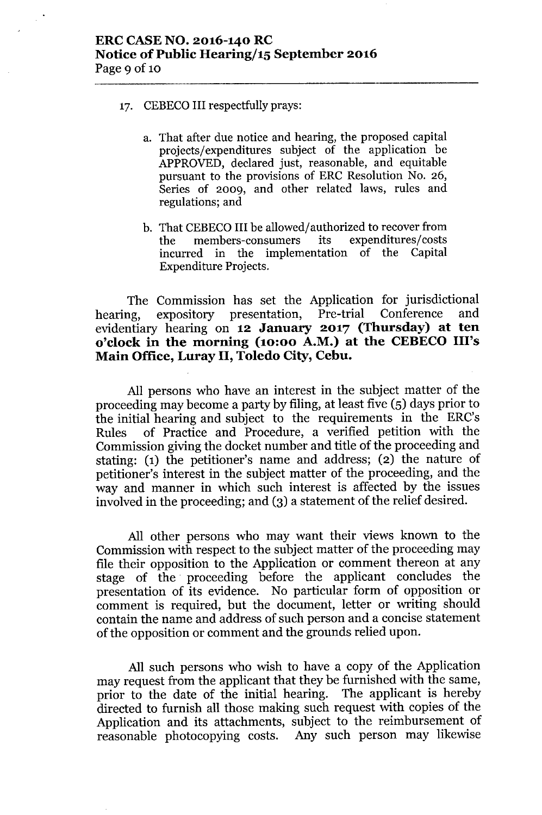- 17. CEBECO III respectfully prays:
	- a. That after due notice and hearing, the proposed capital projects/expenditures subject of the application be APPROVED, declared just, reasonable, and equitable pursuant to the provisions of ERC Resolution No. 26, Series of 2009, and other related laws, rules and regulations; and
	- b. That CEBECO III be allowed/authorized to recover from<br>the members-consumers its expenditures/costs the members-consumers its incurred in the implementation of the Capital Expenditure Projects.

The Commission has set the Application for jurisdictional<br>ng expository presentation. Pre-trial Conference and hearing, expository presentation, Pre-trial Conference evidentiary hearing on **12 January 2017 (Thursday) at ten o'clock in the morning (10:00 A.M.) at the CEBECOIll's Main Office, Luray II, Toledo City, Cebu.**

All persons who have an interest in the subject matter of the proceeding may become a party by filing, at least five (5) days prior to the initial hearing and subject to the requirements in the ERC's Rules of Practice and Procedure, a verified petition with the Commission giving the docket number and title of the proceeding and stating: (1) the petitioner's name and address; (2) the nature of petitioner's interest in the subject matter of the proceeding, and the way and manner in which such interest is affected by the issues involved in the proceeding; and (3) a statement of the relief desired.

All other persons who may want their views known to the Commission with respect to the subject matter of the proceeding may file their opposition to the Application or comment thereon at any stage of the. proceeding before the applicant concludes the presentation of its evidence. No particular form of opposition or comment is required, but the document, letter or writing should contain the name and address of such person and a concise statement of the opposition or comment and the grounds relied upon.

All such persons who wish to have a copy of the Application may request from the applicant that they be furnished with the same, prior to the date of the initial hearing. The applicant is hereby directed to furnish all those making such request with copies of the Application and its attachments, subject to the reimbursement of reasonable photocopying costs. Any such person may likewise